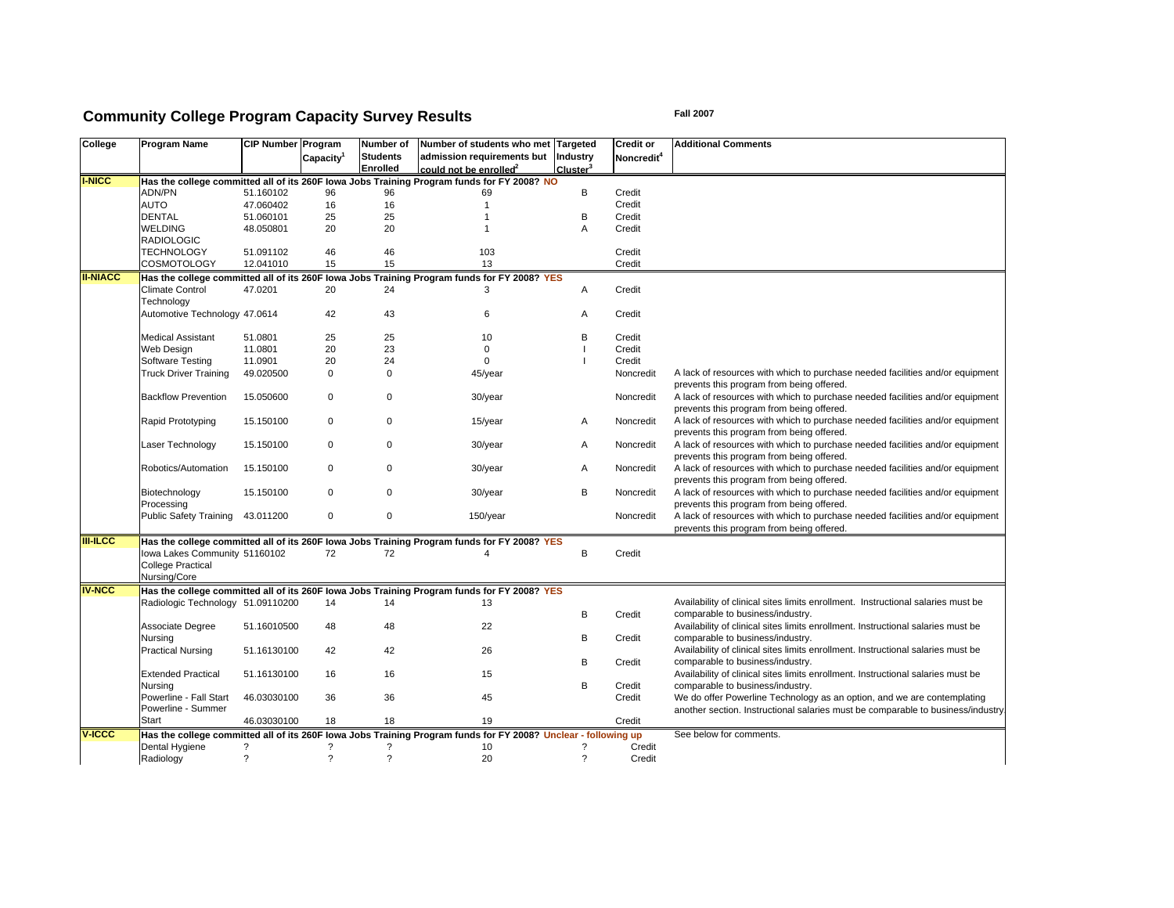# **Community College Program Capacity Survey Results Example 2007** Fall 2007

| College         | <b>Program Name</b>               | <b>CIP Number Program</b> |                          | Number of                | Number of students who met                                                                                     | <b>Targeted</b>            | <b>Credit or</b>       | <b>Additional Comments</b>                                                       |
|-----------------|-----------------------------------|---------------------------|--------------------------|--------------------------|----------------------------------------------------------------------------------------------------------------|----------------------------|------------------------|----------------------------------------------------------------------------------|
|                 |                                   |                           | Capacity <sup>1</sup>    | <b>Students</b>          | admission requirements but                                                                                     | Industry                   | Noncredit <sup>4</sup> |                                                                                  |
|                 |                                   |                           |                          | Enrolled                 | could not be enrolled $2$                                                                                      | Cluster <sup>3</sup>       |                        |                                                                                  |
| <b>I-NICC</b>   |                                   |                           |                          |                          | Has the college committed all of its 260F lowa Jobs Training Program funds for FY 2008? NO                     |                            |                        |                                                                                  |
|                 | <b>ADN/PN</b>                     | 51.160102                 | 96                       | 96                       | 69                                                                                                             | B                          | Credit                 |                                                                                  |
|                 | <b>AUTO</b>                       | 47.060402                 | 16                       | 16                       | $\mathbf{1}$                                                                                                   |                            | Credit                 |                                                                                  |
|                 | <b>DENTAL</b>                     | 51.060101                 | 25                       | 25                       | 1                                                                                                              | B                          | Credit                 |                                                                                  |
|                 | <b>WELDING</b>                    | 48.050801                 | 20                       | 20                       | -1                                                                                                             | A                          | Credit                 |                                                                                  |
|                 | <b>RADIOLOGIC</b>                 |                           |                          |                          |                                                                                                                |                            |                        |                                                                                  |
|                 | <b>TECHNOLOGY</b>                 | 51.091102                 | 46                       | 46                       | 103                                                                                                            |                            | Credit                 |                                                                                  |
|                 | COSMOTOLOGY                       | 12.041010                 | 15                       | 15                       | 13                                                                                                             |                            | Credit                 |                                                                                  |
| <b>II-NIACC</b> |                                   |                           |                          |                          | Has the college committed all of its 260F lowa Jobs Training Program funds for FY 2008? YES                    |                            |                        |                                                                                  |
|                 | Climate Control                   | 47.0201                   | 20                       | 24                       | 3                                                                                                              | A                          | Credit                 |                                                                                  |
|                 |                                   |                           |                          |                          |                                                                                                                |                            |                        |                                                                                  |
|                 | Technology                        |                           |                          |                          |                                                                                                                |                            |                        |                                                                                  |
|                 | Automotive Technology 47.0614     |                           | 42                       | 43                       | 6                                                                                                              | A                          | Credit                 |                                                                                  |
|                 |                                   |                           |                          |                          |                                                                                                                |                            |                        |                                                                                  |
|                 | <b>Medical Assistant</b>          | 51.0801                   | 25                       | 25                       | 10                                                                                                             | B                          | Credit                 |                                                                                  |
|                 | Web Design                        | 11.0801                   | 20                       | 23                       | $\mathbf 0$                                                                                                    |                            | Credit                 |                                                                                  |
|                 | Software Testing                  | 11.0901                   | 20                       | 24                       | $\Omega$                                                                                                       |                            | Credit                 |                                                                                  |
|                 | <b>Truck Driver Training</b>      | 49.020500                 | $\mathbf 0$              | 0                        | 45/year                                                                                                        |                            | Noncredit              | A lack of resources with which to purchase needed facilities and/or equipment    |
|                 |                                   |                           |                          |                          |                                                                                                                |                            |                        | prevents this program from being offered.                                        |
|                 | <b>Backflow Prevention</b>        | 15.050600                 | $\mathbf 0$              | $\Omega$                 | 30/year                                                                                                        |                            | Noncredit              | A lack of resources with which to purchase needed facilities and/or equipment    |
|                 |                                   |                           |                          |                          |                                                                                                                |                            |                        | prevents this program from being offered.                                        |
|                 | Rapid Prototyping                 | 15.150100                 | 0                        | $\Omega$                 | 15/year                                                                                                        | A                          | Noncredit              | A lack of resources with which to purchase needed facilities and/or equipment    |
|                 |                                   |                           |                          |                          |                                                                                                                |                            |                        | prevents this program from being offered.                                        |
|                 | Laser Technology                  | 15.150100                 | 0                        | 0                        | 30/year                                                                                                        | Α                          | Noncredit              | A lack of resources with which to purchase needed facilities and/or equipment    |
|                 |                                   |                           |                          |                          |                                                                                                                |                            |                        | prevents this program from being offered.                                        |
|                 | Robotics/Automation               |                           | 0                        | 0                        |                                                                                                                | A                          |                        | A lack of resources with which to purchase needed facilities and/or equipment    |
|                 |                                   | 15.150100                 |                          |                          | 30/year                                                                                                        |                            | Noncredit              |                                                                                  |
|                 |                                   |                           |                          |                          |                                                                                                                |                            |                        | prevents this program from being offered.                                        |
|                 | Biotechnology                     | 15.150100                 | $\mathbf 0$              | $\Omega$                 | 30/year                                                                                                        | B                          | Noncredit              | A lack of resources with which to purchase needed facilities and/or equipment    |
|                 | Processing                        |                           |                          |                          |                                                                                                                |                            |                        | prevents this program from being offered.                                        |
|                 | Public Safety Training 43.011200  |                           | 0                        | 0                        | 150/year                                                                                                       |                            | Noncredit              | A lack of resources with which to purchase needed facilities and/or equipment    |
|                 |                                   |                           |                          |                          |                                                                                                                |                            |                        | prevents this program from being offered.                                        |
| <b>III-ILCC</b> |                                   |                           |                          |                          | Has the college committed all of its 260F lowa Jobs Training Program funds for FY 2008? YES                    |                            |                        |                                                                                  |
|                 | lowa Lakes Community 51160102     |                           | 72                       | 72                       | 4                                                                                                              | B                          | Credit                 |                                                                                  |
|                 | <b>College Practical</b>          |                           |                          |                          |                                                                                                                |                            |                        |                                                                                  |
|                 | Nursing/Core                      |                           |                          |                          |                                                                                                                |                            |                        |                                                                                  |
| <b>IV-NCC</b>   |                                   |                           |                          |                          | Has the college committed all of its 260F lowa Jobs Training Program funds for FY 2008? YES                    |                            |                        |                                                                                  |
|                 | Radiologic Technology 51.09110200 |                           | 14                       | 14                       | 13                                                                                                             |                            |                        | Availability of clinical sites limits enrollment. Instructional salaries must be |
|                 |                                   |                           |                          |                          |                                                                                                                | B                          | Credit                 | comparable to business/industry.                                                 |
|                 |                                   |                           |                          |                          |                                                                                                                |                            |                        |                                                                                  |
|                 | Associate Degree                  | 51.16010500               | 48                       | 48                       | 22                                                                                                             |                            |                        | Availability of clinical sites limits enrollment. Instructional salaries must be |
|                 | Nursing                           |                           |                          |                          |                                                                                                                | B                          | Credit                 | comparable to business/industry.                                                 |
|                 | <b>Practical Nursing</b>          | 51.16130100               | 42                       | 42                       | 26                                                                                                             |                            |                        | Availability of clinical sites limits enrollment. Instructional salaries must be |
|                 |                                   |                           |                          |                          |                                                                                                                | B                          | Credit                 | comparable to business/industry.                                                 |
|                 | <b>Extended Practical</b>         | 51.16130100               | 16                       | 16                       | 15                                                                                                             |                            |                        | Availability of clinical sites limits enrollment. Instructional salaries must be |
|                 | Nursing                           |                           |                          |                          |                                                                                                                | B                          | Credit                 | comparable to business/industry.                                                 |
|                 | Powerline - Fall Start            | 46.03030100               | 36                       | 36                       | 45                                                                                                             |                            | Credit                 | We do offer Powerline Technology as an option, and we are contemplating          |
|                 | Powerline - Summer                |                           |                          |                          |                                                                                                                |                            |                        | another section. Instructional salaries must be comparable to business/industry  |
|                 | Start                             | 46.03030100               | 18                       | 18                       | 19                                                                                                             |                            | Credit                 |                                                                                  |
| <b>V-ICCC</b>   |                                   |                           |                          |                          | Has the college committed all of its 260F lowa Jobs Training Program funds for FY 2008? Unclear - following up |                            |                        | See below for comments.                                                          |
|                 | Dental Hygiene                    | ?                         | ?                        | ?                        | 10                                                                                                             | 2                          | Credit                 |                                                                                  |
|                 |                                   | $\overline{\cdot}$        | $\overline{\phantom{a}}$ | $\overline{\phantom{a}}$ | 20                                                                                                             | $\boldsymbol{\mathcal{P}}$ |                        |                                                                                  |
|                 | Radiology                         |                           |                          |                          |                                                                                                                |                            | Credit                 |                                                                                  |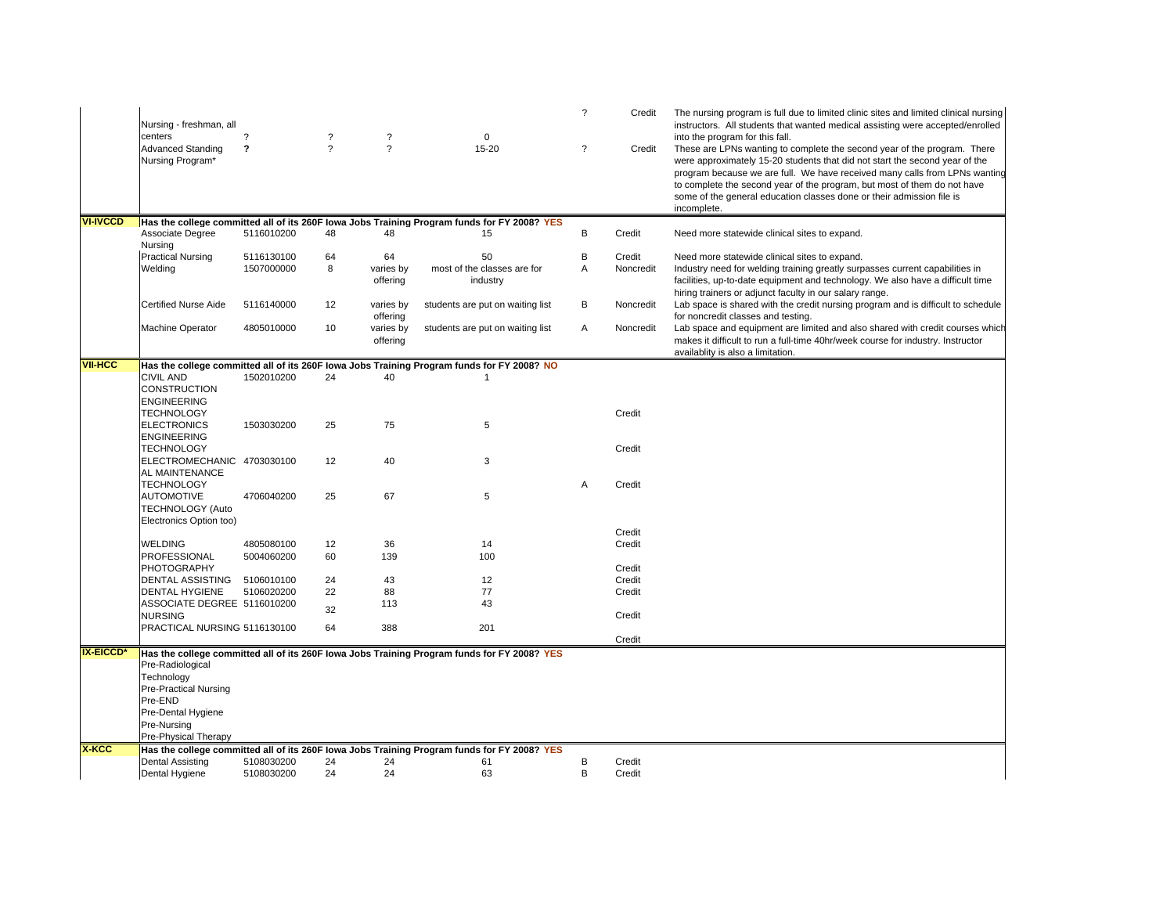|                  | Nursing - freshman, all<br>centers                                                                             | $\overline{\phantom{a}}$   | ?             | ?                     | $\mathbf 0$                                                                                 | $\overline{?}$ | Credit    | The nursing program is full due to limited clinic sites and limited clinical nursing<br>instructors. All students that wanted medical assisting were accepted/enrolled<br>into the program for this fall.                                                                                                                                                                                  |
|------------------|----------------------------------------------------------------------------------------------------------------|----------------------------|---------------|-----------------------|---------------------------------------------------------------------------------------------|----------------|-----------|--------------------------------------------------------------------------------------------------------------------------------------------------------------------------------------------------------------------------------------------------------------------------------------------------------------------------------------------------------------------------------------------|
|                  | <b>Advanced Standing</b><br>Nursing Program*                                                                   | $\boldsymbol{\mathcal{P}}$ | $\mathcal{P}$ | $\overline{?}$        | 15-20                                                                                       | ?              | Credit    | These are LPNs wanting to complete the second year of the program. There<br>were approximately 15-20 students that did not start the second year of the<br>program because we are full. We have received many calls from LPNs wanting<br>to complete the second year of the program, but most of them do not have<br>some of the general education classes done or their admission file is |
| <b>VI-IVCCD</b>  |                                                                                                                |                            |               |                       | Has the college committed all of its 260F lowa Jobs Training Program funds for FY 2008? YES |                |           | incomplete.                                                                                                                                                                                                                                                                                                                                                                                |
|                  | Associate Degree<br>Nursing                                                                                    | 5116010200                 | 48            | 48                    | 15                                                                                          | B              | Credit    | Need more statewide clinical sites to expand.                                                                                                                                                                                                                                                                                                                                              |
|                  | <b>Practical Nursing</b>                                                                                       | 5116130100                 | 64            | 64                    | 50                                                                                          | B              | Credit    | Need more statewide clinical sites to expand.                                                                                                                                                                                                                                                                                                                                              |
|                  | Welding                                                                                                        | 1507000000                 | 8             | varies by<br>offering | most of the classes are for<br>industry                                                     | A              | Noncredit | Industry need for welding training greatly surpasses current capabilities in<br>facilities, up-to-date equipment and technology. We also have a difficult time<br>hiring trainers or adjunct faculty in our salary range.                                                                                                                                                                  |
|                  | <b>Certified Nurse Aide</b>                                                                                    | 5116140000                 | 12            | varies by<br>offering | students are put on waiting list                                                            | В              | Noncredit | Lab space is shared with the credit nursing program and is difficult to schedule<br>for noncredit classes and testing.                                                                                                                                                                                                                                                                     |
|                  | <b>Machine Operator</b>                                                                                        | 4805010000                 | 10            | varies by<br>offering | students are put on waiting list                                                            | Α              | Noncredit | Lab space and equipment are limited and also shared with credit courses which<br>makes it difficult to run a full-time 40hr/week course for industry. Instructor<br>availablity is also a limitation.                                                                                                                                                                                      |
| <b>VII-HCC</b>   |                                                                                                                |                            |               |                       | Has the college committed all of its 260F lowa Jobs Training Program funds for FY 2008? NO  |                |           |                                                                                                                                                                                                                                                                                                                                                                                            |
|                  | <b>CIVIL AND</b><br><b>CONSTRUCTION</b><br><b>ENGINEERING</b>                                                  | 1502010200                 | 24            | 40                    | $\mathbf{1}$                                                                                |                |           |                                                                                                                                                                                                                                                                                                                                                                                            |
|                  | <b>TECHNOLOGY</b>                                                                                              |                            |               |                       |                                                                                             |                | Credit    |                                                                                                                                                                                                                                                                                                                                                                                            |
|                  | <b>ELECTRONICS</b><br><b>ENGINEERING</b>                                                                       | 1503030200                 | 25            | 75                    | 5                                                                                           |                |           |                                                                                                                                                                                                                                                                                                                                                                                            |
|                  | <b>TECHNOLOGY</b>                                                                                              |                            |               |                       |                                                                                             |                | Credit    |                                                                                                                                                                                                                                                                                                                                                                                            |
|                  | ELECTROMECHANIC 4703030100<br>AL MAINTENANCE<br><b>TECHNOLOGY</b>                                              |                            | 12            | 40                    | 3                                                                                           | A              | Credit    |                                                                                                                                                                                                                                                                                                                                                                                            |
|                  | <b>AUTOMOTIVE</b><br><b>TECHNOLOGY (Auto</b><br>Electronics Option too)                                        | 4706040200                 | 25            | 67                    | 5                                                                                           |                |           |                                                                                                                                                                                                                                                                                                                                                                                            |
|                  |                                                                                                                |                            |               |                       |                                                                                             |                | Credit    |                                                                                                                                                                                                                                                                                                                                                                                            |
|                  | <b>WELDING</b><br><b>PROFESSIONAL</b>                                                                          | 4805080100<br>5004060200   | 12<br>60      | 36<br>139             | 14<br>100                                                                                   |                | Credit    |                                                                                                                                                                                                                                                                                                                                                                                            |
|                  | <b>PHOTOGRAPHY</b>                                                                                             |                            |               |                       |                                                                                             |                | Credit    |                                                                                                                                                                                                                                                                                                                                                                                            |
|                  | <b>DENTAL ASSISTING</b>                                                                                        | 5106010100                 | 24            | 43                    | 12                                                                                          |                | Credit    |                                                                                                                                                                                                                                                                                                                                                                                            |
|                  | <b>DENTAL HYGIENE</b>                                                                                          | 5106020200                 | 22            | 88                    | 77                                                                                          |                | Credit    |                                                                                                                                                                                                                                                                                                                                                                                            |
|                  | ASSOCIATE DEGREE 5116010200<br><b>NURSING</b>                                                                  |                            | 32            | 113                   | 43                                                                                          |                | Credit    |                                                                                                                                                                                                                                                                                                                                                                                            |
|                  | PRACTICAL NURSING 5116130100                                                                                   |                            | 64            | 388                   | 201                                                                                         |                |           |                                                                                                                                                                                                                                                                                                                                                                                            |
|                  |                                                                                                                |                            |               |                       |                                                                                             |                | Credit    |                                                                                                                                                                                                                                                                                                                                                                                            |
| <b>IX-EICCD*</b> | Pre-Radiological<br>Technology<br><b>Pre-Practical Nursing</b><br>Pre-END<br>Pre-Dental Hygiene<br>Pre-Nursing |                            |               |                       | Has the college committed all of its 260F lowa Jobs Training Program funds for FY 2008? YES |                |           |                                                                                                                                                                                                                                                                                                                                                                                            |
|                  | Pre-Physical Therapy                                                                                           |                            |               |                       |                                                                                             |                |           |                                                                                                                                                                                                                                                                                                                                                                                            |
| X-KCC            |                                                                                                                |                            |               |                       | Has the college committed all of its 260F lowa Jobs Training Program funds for FY 2008? YES |                |           |                                                                                                                                                                                                                                                                                                                                                                                            |
|                  | <b>Dental Assisting</b>                                                                                        | 5108030200                 | 24            | 24                    | 61                                                                                          | B              | Credit    |                                                                                                                                                                                                                                                                                                                                                                                            |
|                  | Dental Hygiene                                                                                                 | 5108030200                 | 24            | 24                    | 63                                                                                          | B              | Credit    |                                                                                                                                                                                                                                                                                                                                                                                            |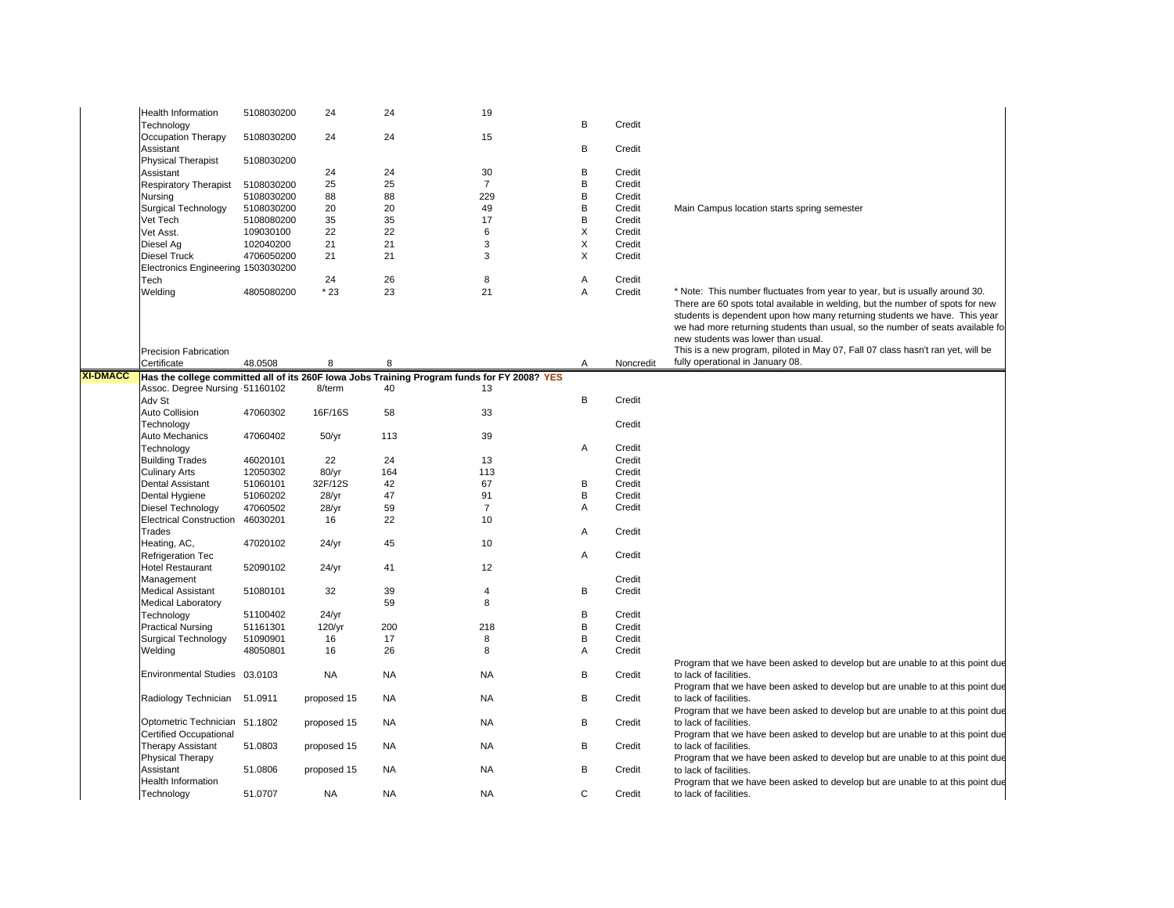|                 | <b>Health Information</b><br>Technology                 | 5108030200 | 24            | 24        | 19                                                                                          | В | Credit    |                                                                                                                                                                                                                                                                                                                                                                    |
|-----------------|---------------------------------------------------------|------------|---------------|-----------|---------------------------------------------------------------------------------------------|---|-----------|--------------------------------------------------------------------------------------------------------------------------------------------------------------------------------------------------------------------------------------------------------------------------------------------------------------------------------------------------------------------|
|                 | Occupation Therapy                                      | 5108030200 | 24            | 24        | 15                                                                                          |   |           |                                                                                                                                                                                                                                                                                                                                                                    |
|                 | Assistant<br><b>Physical Therapist</b>                  | 5108030200 |               |           |                                                                                             | B | Credit    |                                                                                                                                                                                                                                                                                                                                                                    |
|                 | Assistant                                               |            | 24            | 24        | 30                                                                                          | B | Credit    |                                                                                                                                                                                                                                                                                                                                                                    |
|                 | <b>Respiratory Therapist</b>                            | 5108030200 | 25            | 25        | $\overline{7}$                                                                              | B | Credit    |                                                                                                                                                                                                                                                                                                                                                                    |
|                 |                                                         | 5108030200 | 88            | 88        | 229                                                                                         | B | Credit    |                                                                                                                                                                                                                                                                                                                                                                    |
|                 | Nursing                                                 |            |               |           |                                                                                             |   |           |                                                                                                                                                                                                                                                                                                                                                                    |
|                 | <b>Surgical Technology</b>                              | 5108030200 | 20            | 20        | 49                                                                                          | B | Credit    | Main Campus location starts spring semester                                                                                                                                                                                                                                                                                                                        |
|                 | Vet Tech                                                | 5108080200 | 35            | 35        | 17                                                                                          | B | Credit    |                                                                                                                                                                                                                                                                                                                                                                    |
|                 | Vet Asst.                                               | 109030100  | 22            | 22        | 6                                                                                           | X | Credit    |                                                                                                                                                                                                                                                                                                                                                                    |
|                 | Diesel Aq                                               | 102040200  | 21            | 21        | 3                                                                                           | X | Credit    |                                                                                                                                                                                                                                                                                                                                                                    |
|                 | <b>Diesel Truck</b>                                     | 4706050200 | 21            | 21        | 3                                                                                           | X | Credit    |                                                                                                                                                                                                                                                                                                                                                                    |
|                 | Electronics Engineering 1503030200                      |            |               |           |                                                                                             |   |           |                                                                                                                                                                                                                                                                                                                                                                    |
|                 | Tech                                                    |            | 24            | 26        | 8                                                                                           | Α | Credit    |                                                                                                                                                                                                                                                                                                                                                                    |
|                 | Welding                                                 | 4805080200 | $*23$         | 23        | 21                                                                                          | A | Credit    |                                                                                                                                                                                                                                                                                                                                                                    |
|                 |                                                         |            |               |           |                                                                                             |   |           | * Note: This number fluctuates from year to year, but is usually around 30.<br>There are 60 spots total available in welding, but the number of spots for new<br>students is dependent upon how many returning students we have. This year<br>we had more returning students than usual, so the number of seats available fo<br>new students was lower than usual. |
|                 | <b>Precision Fabrication</b><br>Certificate             | 48.0508    | 8             | 8         |                                                                                             | Α | Noncredit | This is a new program, piloted in May 07, Fall 07 class hasn't ran yet, will be<br>fully operational in January 08.                                                                                                                                                                                                                                                |
| <b>XI-DMACC</b> |                                                         |            |               |           | Has the college committed all of its 260F lowa Jobs Training Program funds for FY 2008? YES |   |           |                                                                                                                                                                                                                                                                                                                                                                    |
|                 | Assoc. Degree Nursing 51160102                          |            | 8/term        | 40        | 13                                                                                          |   |           |                                                                                                                                                                                                                                                                                                                                                                    |
|                 |                                                         |            |               |           |                                                                                             |   |           |                                                                                                                                                                                                                                                                                                                                                                    |
|                 | Adv St                                                  |            |               |           |                                                                                             | B | Credit    |                                                                                                                                                                                                                                                                                                                                                                    |
|                 | Auto Collision                                          | 47060302   | 16F/16S       | 58        | 33                                                                                          |   |           |                                                                                                                                                                                                                                                                                                                                                                    |
|                 | Technology                                              |            |               |           |                                                                                             |   | Credit    |                                                                                                                                                                                                                                                                                                                                                                    |
|                 | Auto Mechanics                                          | 47060402   | 50/yr         | 113       | 39                                                                                          |   |           |                                                                                                                                                                                                                                                                                                                                                                    |
|                 | Technology                                              |            |               |           |                                                                                             | Α | Credit    |                                                                                                                                                                                                                                                                                                                                                                    |
|                 | <b>Building Trades</b>                                  | 46020101   | 22            | 24        | 13                                                                                          |   | Credit    |                                                                                                                                                                                                                                                                                                                                                                    |
|                 | <b>Culinary Arts</b>                                    | 12050302   | $80/\gamma r$ | 164       | 113                                                                                         |   | Credit    |                                                                                                                                                                                                                                                                                                                                                                    |
|                 |                                                         |            |               |           |                                                                                             |   |           |                                                                                                                                                                                                                                                                                                                                                                    |
|                 | Dental Assistant                                        | 51060101   | 32F/12S       | 42        | 67                                                                                          | В | Credit    |                                                                                                                                                                                                                                                                                                                                                                    |
|                 | Dental Hygiene                                          | 51060202   | 28/yr         | 47        | 91                                                                                          | B | Credit    |                                                                                                                                                                                                                                                                                                                                                                    |
|                 | Diesel Technology                                       | 47060502   | 28/yr         | 59        | $\overline{7}$                                                                              | Α | Credit    |                                                                                                                                                                                                                                                                                                                                                                    |
|                 | Electrical Construction 46030201                        |            | 16            | 22        | 10                                                                                          |   |           |                                                                                                                                                                                                                                                                                                                                                                    |
|                 | Trades                                                  |            |               |           |                                                                                             | Α | Credit    |                                                                                                                                                                                                                                                                                                                                                                    |
|                 | Heating, AC,                                            | 47020102   | 24/yr         | 45        | 10                                                                                          |   |           |                                                                                                                                                                                                                                                                                                                                                                    |
|                 | Refrigeration Tec                                       |            |               |           |                                                                                             | Α | Credit    |                                                                                                                                                                                                                                                                                                                                                                    |
|                 |                                                         |            |               |           |                                                                                             |   |           |                                                                                                                                                                                                                                                                                                                                                                    |
|                 | <b>Hotel Restaurant</b>                                 | 52090102   | 24/yr         | 41        | 12                                                                                          |   |           |                                                                                                                                                                                                                                                                                                                                                                    |
|                 | Management                                              |            |               |           |                                                                                             |   | Credit    |                                                                                                                                                                                                                                                                                                                                                                    |
|                 | <b>Medical Assistant</b>                                | 51080101   | 32            | 39        | $\overline{\mathbf{4}}$                                                                     | В | Credit    |                                                                                                                                                                                                                                                                                                                                                                    |
|                 | <b>Medical Laboratory</b>                               |            |               | 59        | 8                                                                                           |   |           |                                                                                                                                                                                                                                                                                                                                                                    |
|                 | Technology                                              | 51100402   | 24/yr         |           |                                                                                             | B | Credit    |                                                                                                                                                                                                                                                                                                                                                                    |
|                 | <b>Practical Nursing</b>                                | 51161301   | 120/yr        | 200       | 218                                                                                         | B | Credit    |                                                                                                                                                                                                                                                                                                                                                                    |
|                 | <b>Surgical Technology</b>                              | 51090901   | 16            | 17        | 8                                                                                           | B | Credit    |                                                                                                                                                                                                                                                                                                                                                                    |
|                 | Welding                                                 | 48050801   | 16            | 26        | 8                                                                                           | A | Credit    |                                                                                                                                                                                                                                                                                                                                                                    |
|                 |                                                         |            |               |           |                                                                                             |   |           |                                                                                                                                                                                                                                                                                                                                                                    |
|                 | Environmental Studies 03.0103                           |            | <b>NA</b>     | <b>NA</b> | <b>NA</b>                                                                                   | В | Credit    | Program that we have been asked to develop but are unable to at this point due<br>to lack of facilities.<br>Program that we have been asked to develop but are unable to at this point due                                                                                                                                                                         |
|                 | Radiology Technician 51.0911                            |            | proposed 15   | <b>NA</b> | <b>NA</b>                                                                                   | В | Credit    | to lack of facilities.<br>Program that we have been asked to develop but are unable to at this point due                                                                                                                                                                                                                                                           |
|                 | Optometric Technician 51.1802<br>Certified Occupational |            | proposed 15   | <b>NA</b> | <b>NA</b>                                                                                   | B | Credit    | to lack of facilities.<br>Program that we have been asked to develop but are unable to at this point due                                                                                                                                                                                                                                                           |
|                 | <b>Therapy Assistant</b><br><b>Physical Therapy</b>     | 51.0803    | proposed 15   | <b>NA</b> | <b>NA</b>                                                                                   | В | Credit    | to lack of facilities.<br>Program that we have been asked to develop but are unable to at this point due                                                                                                                                                                                                                                                           |
|                 | Assistant<br>Health Information                         | 51.0806    | proposed 15   | <b>NA</b> | <b>NA</b>                                                                                   | В | Credit    | to lack of facilities.<br>Program that we have been asked to develop but are unable to at this point due                                                                                                                                                                                                                                                           |
|                 | Technology                                              | 51.0707    | <b>NA</b>     | <b>NA</b> | <b>NA</b>                                                                                   | C | Credit    | to lack of facilities.                                                                                                                                                                                                                                                                                                                                             |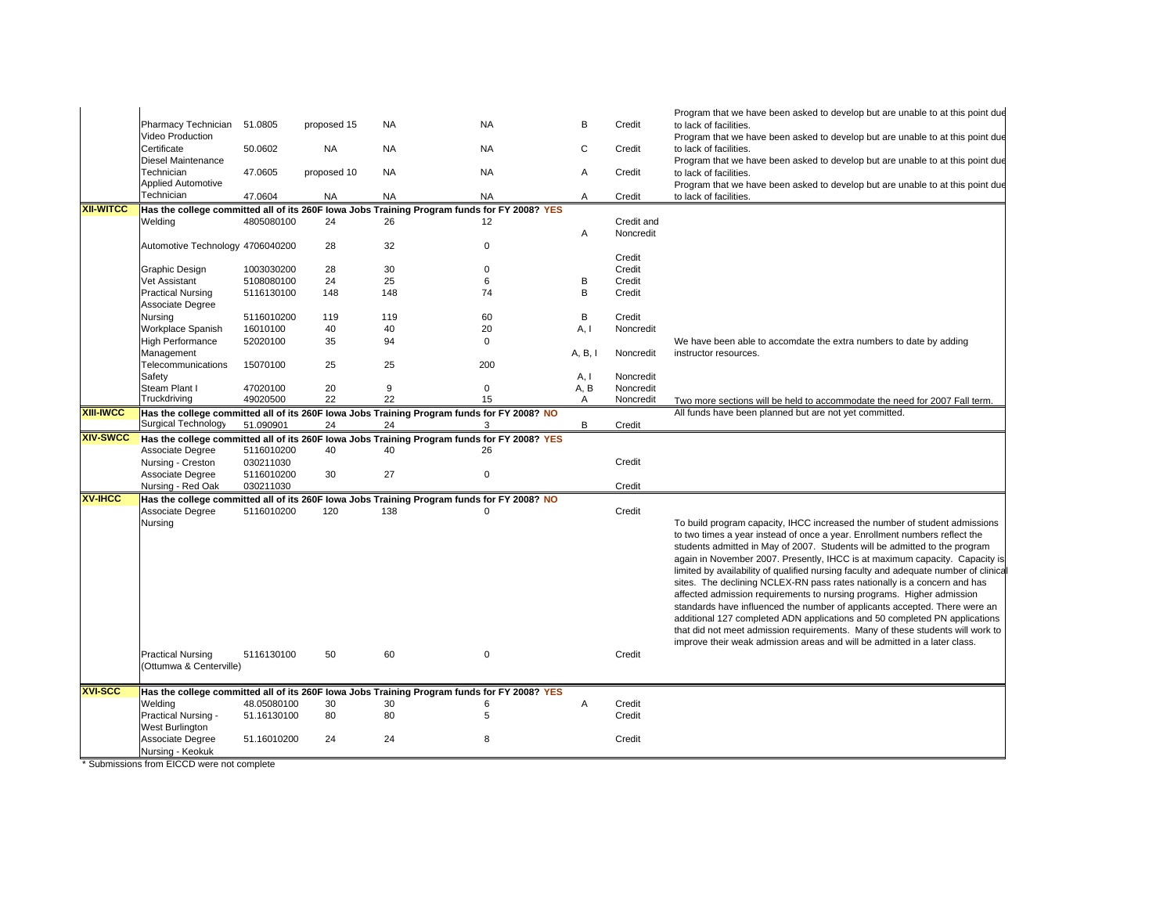|                  |                                      |                      |             |           |                                                                                                  |              |                        | Program that we have been asked to develop but are unable to at this point due                                                       |
|------------------|--------------------------------------|----------------------|-------------|-----------|--------------------------------------------------------------------------------------------------|--------------|------------------------|--------------------------------------------------------------------------------------------------------------------------------------|
|                  | Pharmacy Technician                  | 51.0805              | proposed 15 | <b>NA</b> | <b>NA</b>                                                                                        | B            | Credit                 | to lack of facilities.                                                                                                               |
|                  | Video Production<br>Certificate      |                      |             |           |                                                                                                  | $\mathsf{C}$ |                        | Program that we have been asked to develop but are unable to at this point due                                                       |
|                  | <b>Diesel Maintenance</b>            | 50.0602              | <b>NA</b>   | <b>NA</b> | <b>NA</b>                                                                                        |              | Credit                 | to lack of facilities.<br>Program that we have been asked to develop but are unable to at this point due                             |
|                  | Technician                           | 47.0605              | proposed 10 | <b>NA</b> | <b>NA</b>                                                                                        | Α            | Credit                 | to lack of facilities.                                                                                                               |
|                  | <b>Applied Automotive</b>            |                      |             |           |                                                                                                  |              |                        | Program that we have been asked to develop but are unable to at this point due                                                       |
|                  | Technician                           | 47.0604              | <b>NA</b>   | <b>NA</b> | <b>NA</b>                                                                                        | Α            | Credit                 | to lack of facilities.                                                                                                               |
| <b>XII-WITCC</b> |                                      |                      |             |           | Has the college committed all of its 260F lowa Jobs Training Program funds for FY 2008? YES      |              |                        |                                                                                                                                      |
|                  | Welding                              | 4805080100           | 24          | 26        | 12                                                                                               |              | Credit and             |                                                                                                                                      |
|                  |                                      |                      |             |           |                                                                                                  | Α            | Noncredit              |                                                                                                                                      |
|                  | Automotive Technology 4706040200     |                      | 28          | 32        | $\Omega$                                                                                         |              |                        |                                                                                                                                      |
|                  |                                      |                      |             |           |                                                                                                  |              | Credit                 |                                                                                                                                      |
|                  | Graphic Design                       | 1003030200           | 28          | 30        | $\mathbf 0$                                                                                      |              | Credit                 |                                                                                                                                      |
|                  | Vet Assistant                        | 5108080100           | 24          | 25        | 6                                                                                                | B            | Credit                 |                                                                                                                                      |
|                  | <b>Practical Nursing</b>             | 5116130100           | 148         | 148       | 74                                                                                               | B            | Credit                 |                                                                                                                                      |
|                  | Associate Degree                     |                      |             |           |                                                                                                  |              |                        |                                                                                                                                      |
|                  | Nursing                              | 5116010200           | 119         | 119       | 60                                                                                               | B            | Credit                 |                                                                                                                                      |
|                  | Workplace Spanish                    | 16010100             | 40          | 40        | 20                                                                                               | A, I         | Noncredit              |                                                                                                                                      |
|                  | <b>High Performance</b>              | 52020100             | 35          | 94        | $\mathbf 0$                                                                                      |              |                        | We have been able to accomdate the extra numbers to date by adding                                                                   |
|                  | Management                           |                      |             |           |                                                                                                  | A, B, I      | Noncredit              | instructor resources.                                                                                                                |
|                  | Telecommunications                   | 15070100             | 25          | 25        | 200                                                                                              |              |                        |                                                                                                                                      |
|                  | Safety                               |                      |             |           |                                                                                                  | A, I         | Noncredit              |                                                                                                                                      |
|                  | Steam Plant I<br>Truckdriving        | 47020100<br>49020500 | 20<br>22    | 9<br>22   | 0<br>15                                                                                          | A, B<br>A    | Noncredit<br>Noncredit |                                                                                                                                      |
| <b>XIII-IWCC</b> |                                      |                      |             |           | Has the college committed all of its 260F lowa Jobs Training Program funds for FY 2008? NO       |              |                        | Two more sections will be held to accommodate the need for 2007 Fall term.<br>All funds have been planned but are not yet committed. |
|                  | Surgical Technology                  | 51.090901            | 24          | 24        | 3                                                                                                | B            | Credit                 |                                                                                                                                      |
| <b>XIV-SWCC</b>  |                                      |                      |             |           | Has the college committed all of its 260F lowa Jobs Training Program funds for FY 2008? YES      |              |                        |                                                                                                                                      |
|                  | Associate Degree                     | 5116010200           | 40          | 40        | 26                                                                                               |              |                        |                                                                                                                                      |
|                  | Nursing - Creston                    |                      |             |           |                                                                                                  |              | Credit                 |                                                                                                                                      |
|                  |                                      | 030211030            |             |           |                                                                                                  |              |                        |                                                                                                                                      |
|                  | Associate Degree                     | 5116010200           | 30          | 27        | $\mathbf 0$                                                                                      |              |                        |                                                                                                                                      |
|                  | Nursing - Red Oak                    | 030211030            |             |           |                                                                                                  |              | Credit                 |                                                                                                                                      |
| <b>XV-IHCC</b>   |                                      |                      |             |           | Has the college committed all of its 260F lowa Jobs Training Program funds for FY 2008? NO       |              |                        |                                                                                                                                      |
|                  | Associate Degree                     | 5116010200           | 120         | 138       | $\Omega$                                                                                         |              | Credit                 |                                                                                                                                      |
|                  | Nursing                              |                      |             |           |                                                                                                  |              |                        | To build program capacity, IHCC increased the number of student admissions                                                           |
|                  |                                      |                      |             |           |                                                                                                  |              |                        | to two times a year instead of once a year. Enrollment numbers reflect the                                                           |
|                  |                                      |                      |             |           |                                                                                                  |              |                        | students admitted in May of 2007. Students will be admitted to the program                                                           |
|                  |                                      |                      |             |           |                                                                                                  |              |                        | again in November 2007. Presently, IHCC is at maximum capacity. Capacity is                                                          |
|                  |                                      |                      |             |           |                                                                                                  |              |                        | limited by availability of qualified nursing faculty and adequate number of clinical                                                 |
|                  |                                      |                      |             |           |                                                                                                  |              |                        | sites. The declining NCLEX-RN pass rates nationally is a concern and has                                                             |
|                  |                                      |                      |             |           |                                                                                                  |              |                        | affected admission requirements to nursing programs. Higher admission                                                                |
|                  |                                      |                      |             |           |                                                                                                  |              |                        | standards have influenced the number of applicants accepted. There were an                                                           |
|                  |                                      |                      |             |           |                                                                                                  |              |                        | additional 127 completed ADN applications and 50 completed PN applications                                                           |
|                  |                                      |                      |             |           |                                                                                                  |              |                        | that did not meet admission requirements. Many of these students will work to                                                        |
|                  |                                      |                      |             |           |                                                                                                  |              |                        | improve their weak admission areas and will be admitted in a later class.                                                            |
|                  | <b>Practical Nursing</b>             | 5116130100           | 50          | 60        | $\mathbf 0$                                                                                      |              | Credit                 |                                                                                                                                      |
|                  | (Ottumwa & Centerville)              |                      |             |           |                                                                                                  |              |                        |                                                                                                                                      |
| <b>XVI-SCC</b>   |                                      |                      |             |           |                                                                                                  |              |                        |                                                                                                                                      |
|                  | Welding                              | 48.05080100          | 30          | 30        | Has the college committed all of its 260F lowa Jobs Training Program funds for FY 2008? YES<br>6 | Α            | Credit                 |                                                                                                                                      |
|                  | Practical Nursing -                  | 51.16130100          | 80          | 80        | 5                                                                                                |              | Credit                 |                                                                                                                                      |
|                  | West Burlington                      |                      |             |           |                                                                                                  |              |                        |                                                                                                                                      |
|                  | Associate Degree<br>Nursing - Keokuk | 51.16010200          | 24          | 24        | 8                                                                                                |              | Credit                 |                                                                                                                                      |

\* Submissions from EICCD were not complete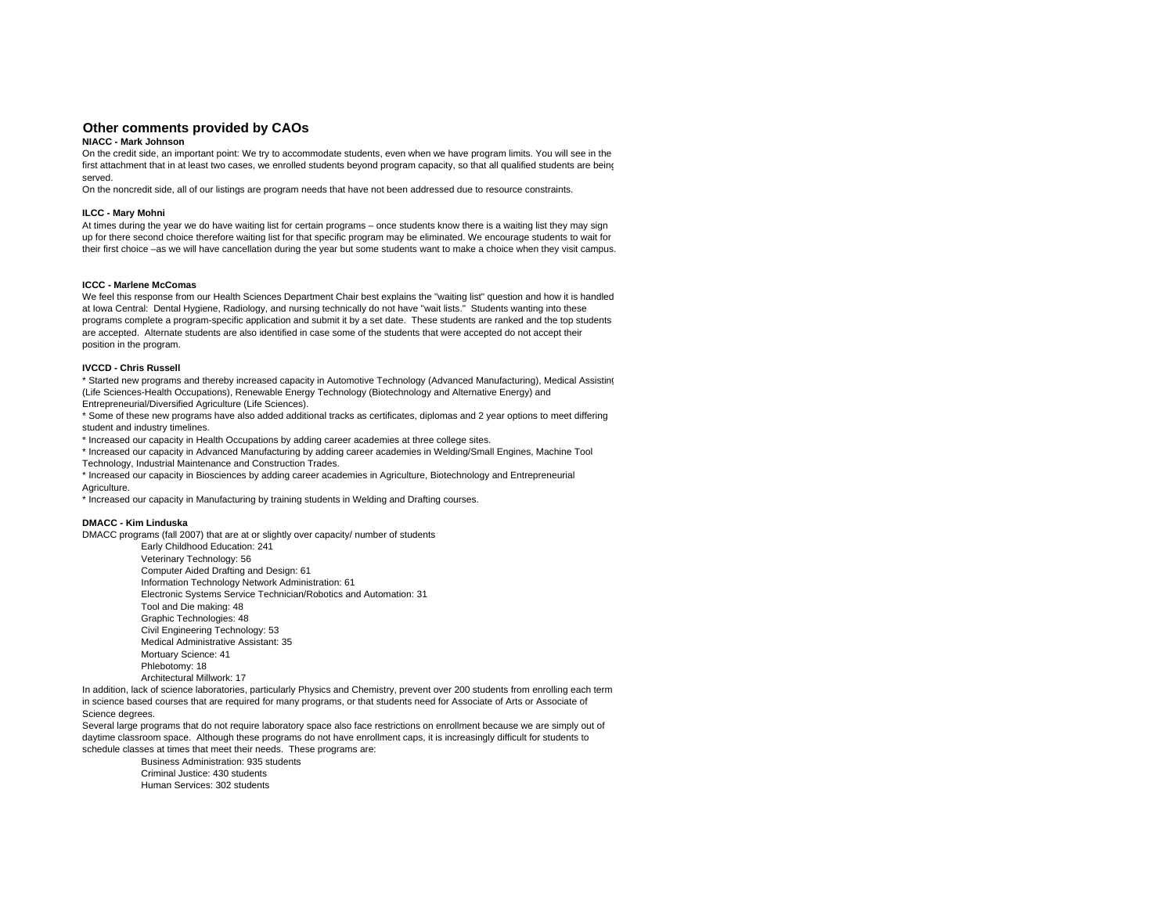## **Other comments provided by CAOs**

### **NIACC - Mark Johnson**

 On the credit side, an important point: We try to accommodate students, even when we have program limits. You will see in the first attachment that in at least two cases, we enrolled students beyond program capacity, so that all qualified students are being served.

On the noncredit side, all of our listings are program needs that have not been addressed due to resource constraints.

#### **ILCC - Mary Mohni**

At times during the year we do have waiting list for certain programs – once students know there is a waiting list they may sign up for there second choice therefore waiting list for that specific program may be eliminated. We encourage students to wait for their first choice –as we will have cancellation during the year but some students want to make a choice when they visit campus.

#### **ICCC - Marlene McComas**

 We feel this response from our Health Sciences Department Chair best explains the "waiting list" question and how it is handled at Iowa Central: Dental Hygiene, Radiology, and nursing technically do not have "wait lists." Students wanting into these programs complete a program-specific application and submit it by a set date. These students are ranked and the top students are accepted. Alternate students are also identified in case some of the students that were accepted do not accept their position in the program.

#### **IVCCD - Chris Russell**

\* Started new programs and thereby increased capacity in Automotive Technology (Advanced Manufacturing), Medical Assisting (Life Sciences-Health Occupations), Renewable Energy Technology (Biotechnology and Alternative Energy) and Entrepreneurial/Diversified Agriculture (Life Sciences).

\* Some of these new programs have also added additional tracks as certificates, diplomas and 2 year options to meet differing student and industry timelines.

\* Increased our capacity in Health Occupations by adding career academies at three college sites.

\* Increased our capacity in Advanced Manufacturing by adding career academies in Welding/Small Engines, Machine Tool Technology, Industrial Maintenance and Construction Trades.

\* Increased our capacity in Biosciences by adding career academies in Agriculture, Biotechnology and Entrepreneurial Agriculture.

\* Increased our capacity in Manufacturing by training students in Welding and Drafting courses.

#### **DMACC - Kim Linduska**

DMACC programs (fall 2007) that are at or slightly over capacity/ number of students

Early Childhood Education: 241 Veterinary Technology: 56 Computer Aided Drafting and Design: 61 Information Technology Network Administration: 61 Electronic Systems Service Technician/Robotics and Automation: 31 Tool and Die making: 48 Graphic Technologies: 48 Civil Engineering Technology: 53 Medical Administrative Assistant: 35Mortuary Science: 41 Phlebotomy: 18 Architectural Millwork: 17

In addition, lack of science laboratories, particularly Physics and Chemistry, prevent over 200 students from enrolling each term in science based courses that are required for many programs, or that students need for Associate of Arts or Associate of Science degrees.

Several large programs that do not require laboratory space also face restrictions on enrollment because we are simply out of daytime classroom space. Although these programs do not have enrollment caps, it is increasingly difficult for students to schedule classes at times that meet their needs. These programs are:

> Business Administration: 935 students Criminal Justice: 430 studentsHuman Services: 302 students